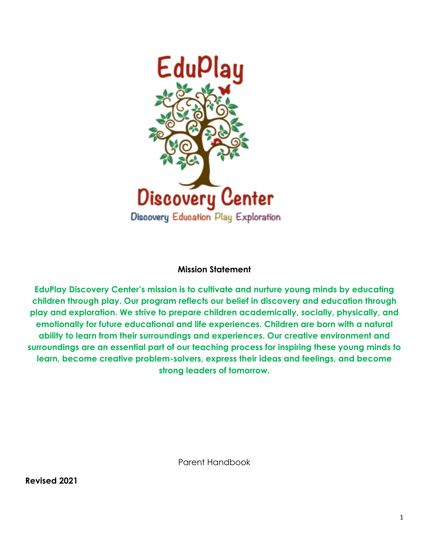

#### **Mission Statement**

**EduPlay Discovery Center's mission is to cultivate and nurture young minds by educating children through play. Our program reflects our belief in discovery and education through play and exploration. We strive to prepare children academically, socially, physically, and emotionally for future educational and life experiences. Children are born with a natural ability to learn from their surroundings and experiences. Our creative environment and surroundings are an essential part of our teaching process for inspiring these young minds to learn, become creative problem-solvers, express their ideas and feelings, and become strong leaders of tomorrow.**

Parent Handbook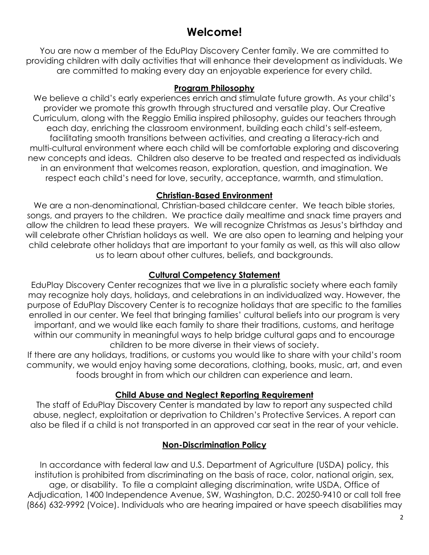## **Welcome!**

You are now a member of the EduPlay Discovery Center family. We are committed to providing children with daily activities that will enhance their development as individuals. We are committed to making every day an enjoyable experience for every child.

#### **Program Philosophy**

We believe a child's early experiences enrich and stimulate future growth. As your child's provider we promote this growth through structured and versatile play. Our Creative Curriculum, along with the Reggio Emilia inspired philosophy, guides our teachers through each day, enriching the classroom environment, building each child's self-esteem, facilitating smooth transitions between activities, and creating a literacy-rich and multi-cultural environment where each child will be comfortable exploring and discovering new concepts and ideas. Children also deserve to be treated and respected as individuals in an environment that welcomes reason, exploration, question, and imagination. We respect each child's need for love, security, acceptance, warmth, and stimulation.

#### **Christian-Based Environment**

We are a non-denominational, Christian-based childcare center. We teach bible stories, songs, and prayers to the children. We practice daily mealtime and snack time prayers and allow the children to lead these prayers. We will recognize Christmas as Jesus's birthday and will celebrate other Christian holidays as well. We are also open to learning and helping your child celebrate other holidays that are important to your family as well, as this will also allow us to learn about other cultures, beliefs, and backgrounds.

### **Cultural Competency Statement**

EduPlay Discovery Center recognizes that we live in a pluralistic society where each family may recognize holy days, holidays, and celebrations in an individualized way. However, the purpose of EduPlay Discovery Center is to recognize holidays that are specific to the families enrolled in our center. We feel that bringing families' cultural beliefs into our program is very important, and we would like each family to share their traditions, customs, and heritage within our community in meaningful ways to help bridge cultural gaps and to encourage children to be more diverse in their views of society.

If there are any holidays, traditions, or customs you would like to share with your child's room community, we would enjoy having some decorations, clothing, books, music, art, and even foods brought in from which our children can experience and learn.

## **Child Abuse and Neglect Reporting Requirement**

The staff of EduPlay Discovery Center is mandated by law to report any suspected child abuse, neglect, exploitation or deprivation to Children's Protective Services. A report can also be filed if a child is not transported in an approved car seat in the rear of your vehicle.

#### **Non-Discrimination Policy**

In accordance with federal law and U.S. Department of Agriculture (USDA) policy, this institution is prohibited from discriminating on the basis of race, color, national origin, sex, age, or disability. To file a complaint alleging discrimination, write USDA, Office of Adjudication, 1400 Independence Avenue, SW, Washington, D.C. 20250-9410 or call toll free (866) 632-9992 (Voice). Individuals who are hearing impaired or have speech disabilities may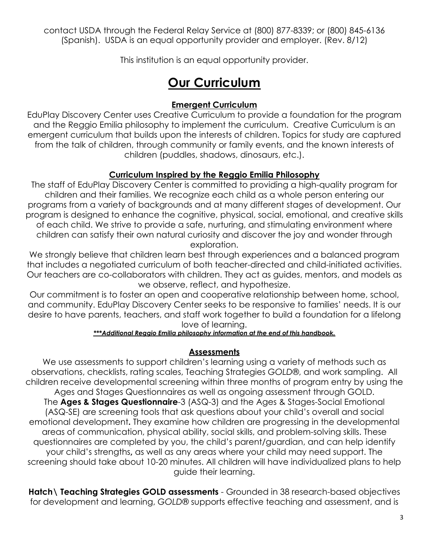contact USDA through the Federal Relay Service at (800) 877-8339; or (800) 845-6136 (Spanish). USDA is an equal opportunity provider and employer. (Rev. 8/12)

This institution is an equal opportunity provider.

## **Our Curriculum**

#### **Emergent Curriculum**

EduPlay Discovery Center uses Creative Curriculum to provide a foundation for the program and the Reggio Emilia philosophy to implement the curriculum. Creative Curriculum is an emergent curriculum that builds upon the interests of children. Topics for study are captured from the talk of children, through community or family events, and the known interests of children (puddles, shadows, dinosaurs, etc.).

#### **Curriculum Inspired by the Reggio Emilia Philosophy**

The staff of EduPlay Discovery Center is committed to providing a high-quality program for children and their families. We recognize each child as a whole person entering our programs from a variety of backgrounds and at many different stages of development. Our program is designed to enhance the cognitive, physical, social, emotional, and creative skills of each child. We strive to provide a safe, nurturing, and stimulating environment where children can satisfy their own natural curiosity and discover the joy and wonder through exploration.

We strongly believe that children learn best through experiences and a balanced program that includes a negotiated curriculum of both teacher-directed and child-initiated activities. Our teachers are co-collaborators with children. They act as guides, mentors, and models as we observe, reflect, and hypothesize.

Our commitment is to foster an open and cooperative relationship between home, school, and community. EduPlay Discovery Center seeks to be responsive to families' needs. It is our desire to have parents, teachers, and staff work together to build a foundation for a lifelong love of learning.

#### *\*\*\*Additional Reggio Emilia philosophy information at the end of this handbook.*

#### **Assessments**

We use assessments to support children's learning using a variety of methods such as observations, checklists, rating scales, Teaching Strategies *GOLD*®, and work sampling. All children receive developmental screening within three months of program entry by using the Ages and Stages Questionnaires as well as ongoing assessment through GOLD. The **Ages & Stages Questionnaire**-3 (ASQ-3) and the Ages & Stages-Social Emotional (ASQ-SE) are screening tools that ask questions about your child's overall and social emotional development**.** They examine how children are progressing in the developmental areas of communication, physical ability, social skills, and problem-solving skills. These questionnaires are completed by you, the child's parent/guardian, and can help identify your child's strengths**,** as well as any areas where your child may need support. The screening should take about 10-20 minutes. All children will have individualized plans to help guide their learning.

**Hatch\ Teaching Strategies GOLD assessments** - Grounded in 38 research-based objectives for development and learning, *GOLD*® supports effective teaching and assessment, and is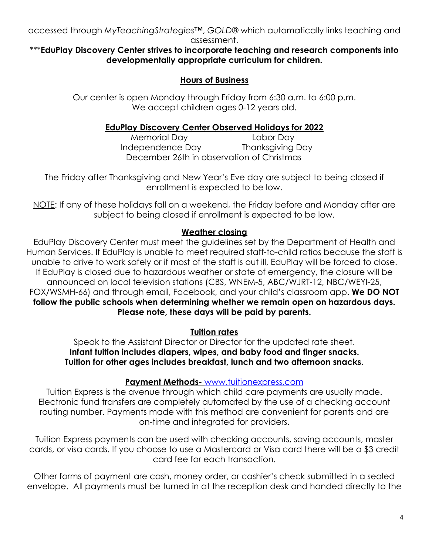accessed through *MyTeachingStrategies*™, *GOLD*® which automatically links teaching and assessment.

#### \*\*\***EduPlay Discovery Center strives to incorporate teaching and research components into developmentally appropriate curriculum for children.**

## **Hours of Business**

Our center is open Monday through Friday from 6:30 a.m. to 6:00 p.m. We accept children ages 0-12 years old.

### **EduPlay Discovery Center Observed Holidays for 2022**

Memorial Day Labor Day Independence Day Thanksgiving Day December 26th in observation of Christmas

The Friday after Thanksgiving and New Year's Eve day are subject to being closed if enrollment is expected to be low.

NOTE: If any of these holidays fall on a weekend, the Friday before and Monday after are subject to being closed if enrollment is expected to be low.

### **Weather closing**

EduPlay Discovery Center must meet the guidelines set by the Department of Health and Human Services. If EduPlay is unable to meet required staff-to-child ratios because the staff is unable to drive to work safely or if most of the staff is out ill, EduPlay will be forced to close. If EduPlay is closed due to hazardous weather or state of emergency, the closure will be announced on local television stations (CBS, WNEM-5, ABC/WJRT-12, NBC/WEYI-25, FOX/WSMH-66) and through email, Facebook, and your child's classroom app. **We DO NOT follow the public schools when determining whether we remain open on hazardous days. Please note, these days will be paid by parents.**

**Tuition rates**

Speak to the Assistant Director or Director for the updated rate sheet. **Infant tuition includes diapers, wipes, and baby food and finger snacks. Tuition for other ages includes breakfast, lunch and two afternoon snacks.**

#### **Payment Methods-** [www.tuitionexpress.com](http://www.tuitionexpress.com)

Tuition Express is the avenue through which child care payments are usually made. Electronic fund transfers are completely automated by the use of a checking account routing number. Payments made with this method are convenient for parents and are on-time and integrated for providers.

Tuition Express payments can be used with checking accounts, saving accounts, master cards, or visa cards. If you choose to use a Mastercard or Visa card there will be a \$3 credit card fee for each transaction.

Other forms of payment are cash, money order, or cashier's check submitted in a sealed envelope. All payments must be turned in at the reception desk and handed directly to the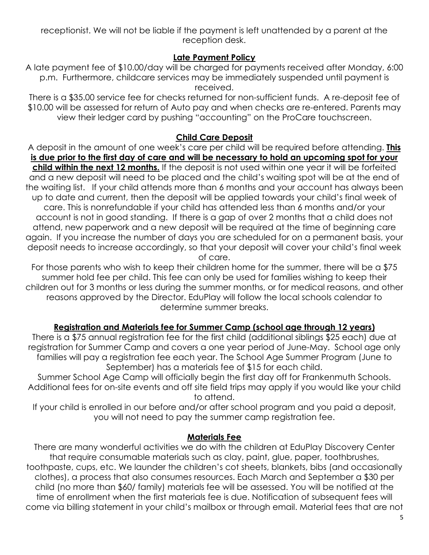receptionist. We will not be liable if the payment is left unattended by a parent at the reception desk.

#### **Late Payment Policy**

A late payment fee of \$10.00/day will be charged for payments received after Monday, 6:00 p.m. Furthermore, childcare services may be immediately suspended until payment is received.

There is a \$35.00 service fee for checks returned for non-sufficient funds. A re-deposit fee of \$10.00 will be assessed for return of Auto pay and when checks are re-entered. Parents may view their ledger card by pushing "accounting" on the ProCare touchscreen.

#### **Child Care Deposit**

A deposit in the amount of one week's care per child will be required before attending. **This is due prior to the first day of care and will be necessary to hold an upcoming spot for your child within the next 12 months.** If the deposit is not used within one year it will be forfeited and a new deposit will need to be placed and the child's waiting spot will be at the end of the waiting list. If your child attends more than 6 months and your account has always been up to date and current, then the deposit will be applied towards your child's final week of care. This is nonrefundable if your child has attended less than 6 months and/or your account is not in good standing. If there is a gap of over 2 months that a child does not attend, new paperwork and a new deposit will be required at the time of beginning care again. If you increase the number of days you are scheduled for on a permanent basis, your deposit needs to increase accordingly, so that your deposit will cover your child's final week of care.

For those parents who wish to keep their children home for the summer, there will be a \$75 summer hold fee per child. This fee can only be used for families wishing to keep their children out for 3 months or less during the summer months, or for medical reasons, and other reasons approved by the Director. EduPlay will follow the local schools calendar to determine summer breaks.

#### **Registration and Materials fee for Summer Camp (school age through 12 years)**

There is a \$75 annual registration fee for the first child (additional siblings \$25 each) due at registration for Summer Camp and covers a one year period of June-May. School age only families will pay a registration fee each year. The School Age Summer Program (June to September) has a materials fee of \$15 for each child.

Summer School Age Camp will officially begin the first day off for Frankenmuth Schools. Additional fees for on-site events and off site field trips may apply if you would like your child to attend.

If your child is enrolled in our before and/or after school program and you paid a deposit, you will not need to pay the summer camp registration fee.

#### **Materials Fee**

There are many wonderful activities we do with the children at EduPlay Discovery Center that require consumable materials such as clay, paint, glue, paper, toothbrushes, toothpaste, cups, etc. We launder the children's cot sheets, blankets, bibs (and occasionally clothes), a process that also consumes resources. Each March and September a \$30 per child (no more than \$60/ family) materials fee will be assessed. You will be notified at the time of enrollment when the first materials fee is due. Notification of subsequent fees will come via billing statement in your child's mailbox or through email. Material fees that are not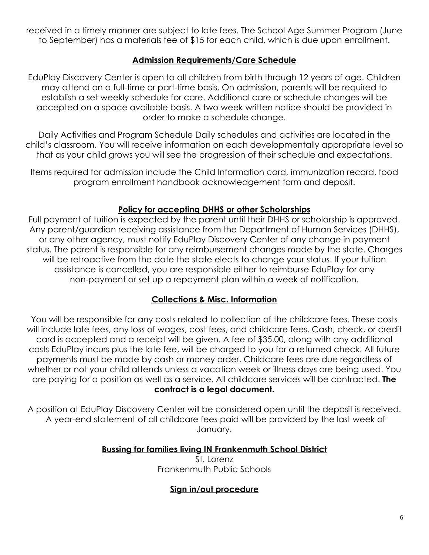received in a timely manner are subject to late fees. The School Age Summer Program (June to September) has a materials fee of \$15 for each child, which is due upon enrollment.

#### **Admission Requirements/Care Schedule**

EduPlay Discovery Center is open to all children from birth through 12 years of age. Children may attend on a full-time or part-time basis. On admission, parents will be required to establish a set weekly schedule for care. Additional care or schedule changes will be accepted on a space available basis. A two week written notice should be provided in order to make a schedule change.

Daily Activities and Program Schedule Daily schedules and activities are located in the child's classroom. You will receive information on each developmentally appropriate level so that as your child grows you will see the progression of their schedule and expectations.

Items required for admission include the Child Information card, immunization record, food program enrollment handbook acknowledgement form and deposit.

#### **Policy for accepting DHHS or other Scholarships**

Full payment of tuition is expected by the parent until their DHHS or scholarship is approved. Any parent/guardian receiving assistance from the Department of Human Services (DHHS), or any other agency, must notify EduPlay Discovery Center of any change in payment status. The parent is responsible for any reimbursement changes made by the state. Charges will be retroactive from the date the state elects to change your status. If your tuition assistance is cancelled, you are responsible either to reimburse EduPlay for any non-payment or set up a repayment plan within a week of notification.

#### **Collections & Misc. Information**

You will be responsible for any costs related to collection of the childcare fees. These costs will include late fees, any loss of wages, cost fees, and childcare fees. Cash, check, or credit card is accepted and a receipt will be given. A fee of \$35.00, along with any additional costs EduPlay incurs plus the late fee, will be charged to you for a returned check. All future payments must be made by cash or money order. Childcare fees are due regardless of whether or not your child attends unless a vacation week or illness days are being used. You are paying for a position as well as a service. All childcare services will be contracted. **The contract is a legal document.**

A position at EduPlay Discovery Center will be considered open until the deposit is received. A year-end statement of all childcare fees paid will be provided by the last week of January.

#### **Bussing for families living IN Frankenmuth School District**

St. Lorenz Frankenmuth Public Schools

#### **Sign in/out procedure**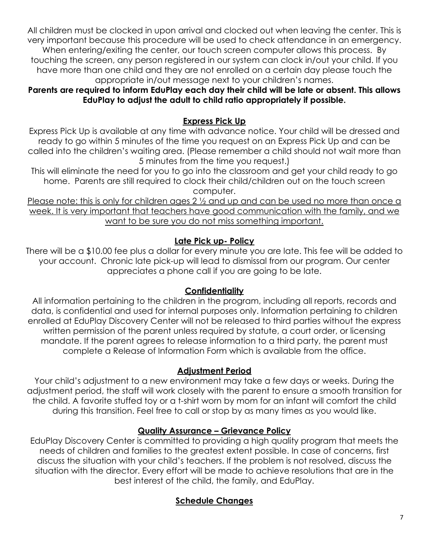All children must be clocked in upon arrival and clocked out when leaving the center. This is very important because this procedure will be used to check attendance in an emergency. When entering/exiting the center, our touch screen computer allows this process. By touching the screen, any person registered in our system can clock in/out your child. If you have more than one child and they are not enrolled on a certain day please touch the appropriate in/out message next to your children's names.

**Parents are required to inform EduPlay each day their child will be late or absent. This allows EduPlay to adjust the adult to child ratio appropriately if possible.**

## **Express Pick Up**

Express Pick Up is available at any time with advance notice. Your child will be dressed and ready to go within 5 minutes of the time you request on an Express Pick Up and can be called into the children's waiting area. (Please remember a child should not wait more than 5 minutes from the time you request.)

This will eliminate the need for you to go into the classroom and get your child ready to go home. Parents are still required to clock their child/children out on the touch screen computer.

Please note: this is only for children ages 2  $\frac{1}{2}$  and up and can be used no more than once a week. It is very important that teachers have good communication with the family, and we want to be sure you do not miss something important.

#### **Late Pick up- Policy**

There will be a \$10.00 fee plus a dollar for every minute you are late. This fee will be added to your account. Chronic late pick-up will lead to dismissal from our program. Our center appreciates a phone call if you are going to be late.

#### **Confidentiality**

All information pertaining to the children in the program, including all reports, records and data, is confidential and used for internal purposes only. Information pertaining to children enrolled at EduPlay Discovery Center will not be released to third parties without the express written permission of the parent unless required by statute, a court order, or licensing mandate. If the parent agrees to release information to a third party, the parent must complete a Release of Information Form which is available from the office.

#### **Adjustment Period**

Your child's adjustment to a new environment may take a few days or weeks. During the adjustment period, the staff will work closely with the parent to ensure a smooth transition for the child. A favorite stuffed toy or a t-shirt worn by mom for an infant will comfort the child during this transition. Feel free to call or stop by as many times as you would like.

#### **Quality Assurance – Grievance Policy**

EduPlay Discovery Center is committed to providing a high quality program that meets the needs of children and families to the greatest extent possible. In case of concerns, first discuss the situation with your child's teachers. If the problem is not resolved, discuss the situation with the director. Every effort will be made to achieve resolutions that are in the best interest of the child, the family, and EduPlay.

#### **Schedule Changes**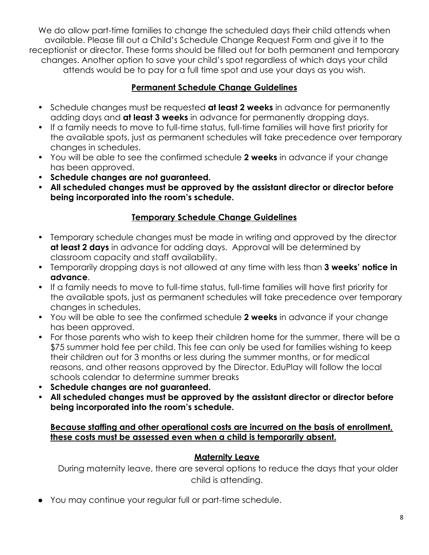We do allow part-time families to change the scheduled days their child attends when available. Please fill out a Child's Schedule Change Request Form and give it to the receptionist or director. These forms should be filled out for both permanent and temporary changes. Another option to save your child's spot regardless of which days your child attends would be to pay for a full time spot and use your days as you wish.

## **Permanent Schedule Change Guidelines**

- Schedule changes must be requested **at least 2 weeks** in advance for permanently adding days and **at least 3 weeks** in advance for permanently dropping days.
- If a family needs to move to full-time status, full-time families will have first priority for the available spots, just as permanent schedules will take precedence over temporary changes in schedules.
- You will be able to see the confirmed schedule **2 weeks** in advance if your change has been approved.
- **Schedule changes are not guaranteed.**
- **All scheduled changes must be approved by the assistant director or director before being incorporated into the room's schedule.**

## **Temporary Schedule Change Guidelines**

- Temporary schedule changes must be made in writing and approved by the director **at least 2 days** in advance for adding days. Approval will be determined by classroom capacity and staff availability.
- Temporarily dropping days is not allowed at any time with less than **3 weeks' notice in advance**.
- If a family needs to move to full-time status, full-time families will have first priority for the available spots, just as permanent schedules will take precedence over temporary changes in schedules.
- You will be able to see the confirmed schedule **2 weeks** in advance if your change has been approved.
- For those parents who wish to keep their children home for the summer, there will be a \$75 summer hold fee per child. This fee can only be used for families wishing to keep their children out for 3 months or less during the summer months, or for medical reasons, and other reasons approved by the Director. EduPlay will follow the local schools calendar to determine summer breaks
- **Schedule changes are not guaranteed.**
- **All scheduled changes must be approved by the assistant director or director before being incorporated into the room's schedule.**

#### **Because staffing and other operational costs are incurred on the basis of enrollment, these costs must be assessed even when a child is temporarily absent.**

## **Maternity Leave**

During maternity leave, there are several options to reduce the days that your older child is attending.

● You may continue your regular full or part-time schedule.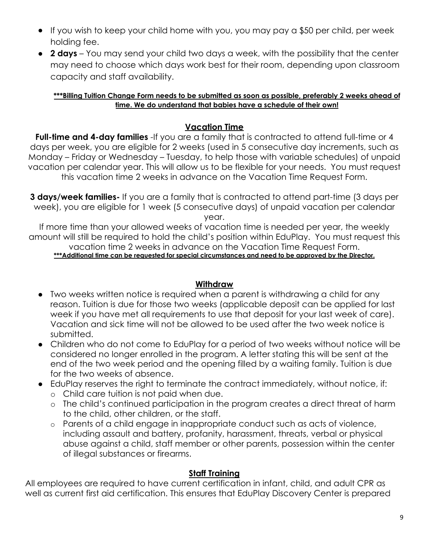- If you wish to keep your child home with you, you may pay a \$50 per child, per week holding fee.
- **2 days** You may send your child two days a week, with the possibility that the center may need to choose which days work best for their room, depending upon classroom capacity and staff availability.

#### **\*\*\*Billing Tuition Change Form needs to be submitted as soon as possible, preferably 2 weeks ahead of time. We do understand that babies have a schedule of their own!**

#### **Vacation Time**

**Full-time and 4-day families** -If you are a family that is contracted to attend full-time or 4 days per week, you are eligible for 2 weeks (used in 5 consecutive day increments, such as Monday – Friday or Wednesday – Tuesday, to help those with variable schedules) of unpaid vacation per calendar year. This will allow us to be flexible for your needs. You must request this vacation time 2 weeks in advance on the Vacation Time Request Form.

**3 days/week families-** If you are a family that is contracted to attend part-time (3 days per week), you are eligible for 1 week (5 consecutive days) of unpaid vacation per calendar

year.

If more time than your allowed weeks of vacation time is needed per year, the weekly amount will still be required to hold the child's position within EduPlay. You must request this vacation time 2 weeks in advance on the Vacation Time Request Form. **\*\*\*Additional time can be requested for special circumstances and need to be approved by the Director.**

#### **Withdraw**

- Two weeks written notice is required when a parent is withdrawing a child for any reason. Tuition is due for those two weeks (applicable deposit can be applied for last week if you have met all requirements to use that deposit for your last week of care). Vacation and sick time will not be allowed to be used after the two week notice is submitted.
- Children who do not come to EduPlay for a period of two weeks without notice will be considered no longer enrolled in the program. A letter stating this will be sent at the end of the two week period and the opening filled by a waiting family. Tuition is due for the two weeks of absence.
- EduPlay reserves the right to terminate the contract immediately, without notice, if:
	- o Child care tuition is not paid when due.
	- o The child's continued participation in the program creates a direct threat of harm to the child, other children, or the staff.
	- o Parents of a child engage in inappropriate conduct such as acts of violence, including assault and battery, profanity, harassment, threats, verbal or physical abuse against a child, staff member or other parents, possession within the center of illegal substances or firearms.

#### **Staff Training**

All employees are required to have current certification in infant, child, and adult CPR as well as current first aid certification. This ensures that EduPlay Discovery Center is prepared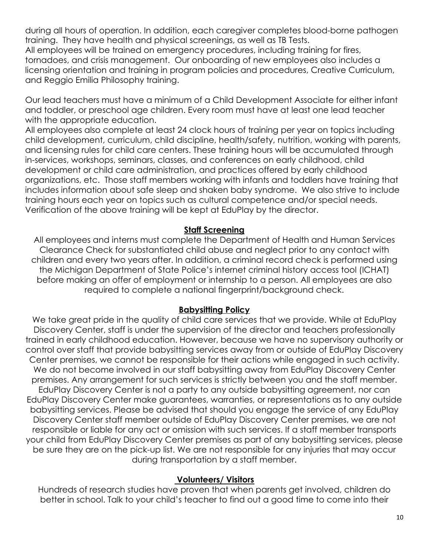during all hours of operation. In addition, each caregiver completes blood-borne pathogen training. They have health and physical screenings, as well as TB Tests. All employees will be trained on emergency procedures, including training for fires, tornadoes, and crisis management. Our onboarding of new employees also includes a licensing orientation and training in program policies and procedures, Creative Curriculum, and Reggio Emilia Philosophy training.

Our lead teachers must have a minimum of a Child Development Associate for either infant and toddler, or preschool age children. Every room must have at least one lead teacher with the appropriate education.

All employees also complete at least 24 clock hours of training per year on topics including child development, curriculum, child discipline, health/safety, nutrition, working with parents, and licensing rules for child care centers. These training hours will be accumulated through in-services, workshops, seminars, classes, and conferences on early childhood, child development or child care administration, and practices offered by early childhood organizations, etc. Those staff members working with infants and toddlers have training that includes information about safe sleep and shaken baby syndrome. We also strive to include training hours each year on topics such as cultural competence and/or special needs. Verification of the above training will be kept at EduPlay by the director.

#### **Staff Screening**

All employees and interns must complete the Department of Health and Human Services Clearance Check for substantiated child abuse and neglect prior to any contact with children and every two years after. In addition, a criminal record check is performed using the Michigan Department of State Police's internet criminal history access tool (ICHAT) before making an offer of employment or internship to a person. All employees are also required to complete a national fingerprint/background check.

#### **Babysitting Policy**

We take great pride in the quality of child care services that we provide. While at EduPlay Discovery Center, staff is under the supervision of the director and teachers professionally trained in early childhood education. However, because we have no supervisory authority or control over staff that provide babysitting services away from or outside of EduPlay Discovery Center premises, we cannot be responsible for their actions while engaged in such activity. We do not become involved in our staff babysitting away from EduPlay Discovery Center premises. Any arrangement for such services is strictly between you and the staff member. EduPlay Discovery Center is not a party to any outside babysitting agreement, nor can EduPlay Discovery Center make guarantees, warranties, or representations as to any outside babysitting services. Please be advised that should you engage the service of any EduPlay Discovery Center staff member outside of EduPlay Discovery Center premises, we are not responsible or liable for any act or omission with such services. If a staff member transports your child from EduPlay Discovery Center premises as part of any babysitting services, please be sure they are on the pick-up list. We are not responsible for any injuries that may occur during transportation by a staff member.

#### **Volunteers/ Visitors**

Hundreds of research studies have proven that when parents get involved, children do better in school. Talk to your child's teacher to find out a good time to come into their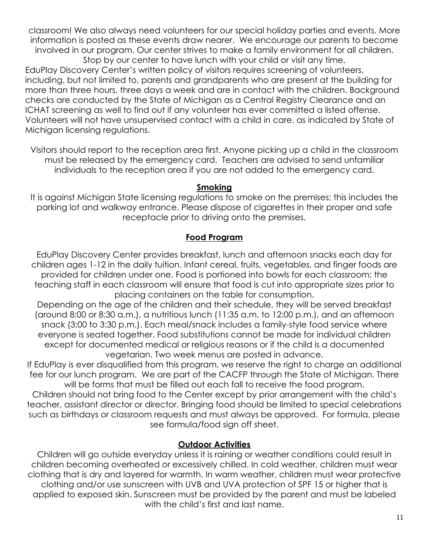classroom! We also always need volunteers for our special holiday parties and events. More information is posted as these events draw nearer. We encourage our parents to become involved in our program. Our center strives to make a family environment for all children. Stop by our center to have lunch with your child or visit any time.

EduPlay Discovery Center's written policy of visitors requires screening of volunteers, including, but not limited to, parents and grandparents who are present at the building for more than three hours, three days a week and are in contact with the children. Background checks are conducted by the State of Michigan as a Central Registry Clearance and an ICHAT screening as well to find out if any volunteer has ever committed a listed offense. Volunteers will not have unsupervised contact with a child in care, as indicated by State of Michigan licensing regulations.

Visitors should report to the reception area first. Anyone picking up a child in the classroom must be released by the emergency card. Teachers are advised to send unfamiliar individuals to the reception area if you are not added to the emergency card.

#### **Smoking**

It is against Michigan State licensing regulations to smoke on the premises; this includes the parking lot and walkway entrance. Please dispose of cigarettes in their proper and safe receptacle prior to driving onto the premises.

#### **Food Program**

EduPlay Discovery Center provides breakfast, lunch and afternoon snacks each day for children ages 1-12 in the daily tuition. Infant cereal, fruits, vegetables, and finger foods are provided for children under one. Food is portioned into bowls for each classroom; the teaching staff in each classroom will ensure that food is cut into appropriate sizes prior to placing containers on the table for consumption.

Depending on the age of the children and their schedule, they will be served breakfast (around 8:00 or 8:30 a.m.), a nutritious lunch (11:35 a.m. to 12:00 p.m.), and an afternoon snack (3:00 to 3:30 p.m.). Each meal/snack includes a family-style food service where everyone is seated together. Food substitutions cannot be made for individual children except for documented medical or religious reasons or if the child is a documented vegetarian. Two week menus are posted in advance.

If EduPlay is ever disqualified from this program, we reserve the right to charge an additional fee for our lunch program. We are part of the CACFP through the State of Michigan. There will be forms that must be filled out each fall to receive the food program.

Children should not bring food to the Center except by prior arrangement with the child's teacher, assistant director or director. Bringing food should be limited to special celebrations such as birthdays or classroom requests and must always be approved. For formula, please see formula/food sign off sheet.

#### **Outdoor Activities**

Children will go outside everyday unless it is raining or weather conditions could result in children becoming overheated or excessively chilled. In cold weather, children must wear clothing that is dry and layered for warmth. In warm weather, children must wear protective clothing and/or use sunscreen with UVB and UVA protection of SPF 15 or higher that is applied to exposed skin. Sunscreen must be provided by the parent and must be labeled with the child's first and last name.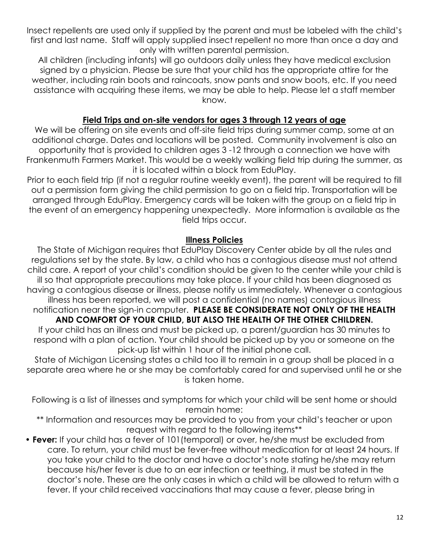Insect repellents are used only if supplied by the parent and must be labeled with the child's first and last name. Staff will apply supplied insect repellent no more than once a day and only with written parental permission.

All children (including infants) will go outdoors daily unless they have medical exclusion signed by a physician. Please be sure that your child has the appropriate attire for the weather, including rain boots and raincoats, snow pants and snow boots, etc. If you need assistance with acquiring these items, we may be able to help. Please let a staff member know.

#### **Field Trips and on-site vendors for ages 3 through 12 years of age**

We will be offering on site events and off-site field trips during summer camp, some at an additional charge. Dates and locations will be posted. Community involvement is also an opportunity that is provided to children ages 3 -12 through a connection we have with Frankenmuth Farmers Market. This would be a weekly walking field trip during the summer, as it is located within a block from EduPlay.

Prior to each field trip (if not a regular routine weekly event), the parent will be required to fill out a permission form giving the child permission to go on a field trip. Transportation will be arranged through EduPlay. Emergency cards will be taken with the group on a field trip in the event of an emergency happening unexpectedly. More information is available as the field trips occur.

#### **Illness Policies**

The State of Michigan requires that EduPlay Discovery Center abide by all the rules and regulations set by the state. By law, a child who has a contagious disease must not attend child care. A report of your child's condition should be given to the center while your child is ill so that appropriate precautions may take place. If your child has been diagnosed as having a contagious disease or illness, please notify us immediately. Whenever a contagious illness has been reported, we will post a confidential (no names) contagious illness notification near the sign-in computer. **PLEASE BE CONSIDERATE NOT ONLY OF THE HEALTH**

**AND COMFORT OF YOUR CHILD, BUT ALSO THE HEALTH OF THE OTHER CHILDREN.** If your child has an illness and must be picked up, a parent/guardian has 30 minutes to respond with a plan of action. Your child should be picked up by you or someone on the pick-up list within 1 hour of the initial phone call.

State of Michigan Licensing states a child too ill to remain in a group shall be placed in a separate area where he or she may be comfortably cared for and supervised until he or she is taken home.

Following is a list of illnesses and symptoms for which your child will be sent home or should remain home:

\*\* Information and resources may be provided to you from your child's teacher or upon request with regard to the following items\*\*

• **Fever:** If your child has a fever of 101(temporal) or over, he/she must be excluded from care. To return, your child must be fever-free without medication for at least 24 hours. If you take your child to the doctor and have a doctor's note stating he/she may return because his/her fever is due to an ear infection or teething, it must be stated in the doctor's note. These are the only cases in which a child will be allowed to return with a fever. If your child received vaccinations that may cause a fever, please bring in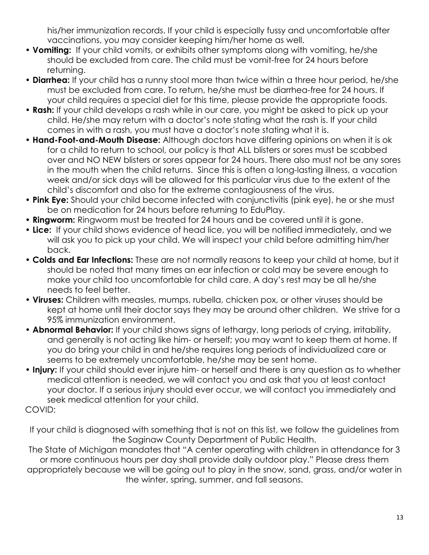his/her immunization records. If your child is especially fussy and uncomfortable after vaccinations, you may consider keeping him/her home as well.

- **Vomiting:** If your child vomits, or exhibits other symptoms along with vomiting, he/she should be excluded from care. The child must be vomit-free for 24 hours before returning.
- **Diarrhea:** If your child has a runny stool more than twice within a three hour period, he/she must be excluded from care. To return, he/she must be diarrhea-free for 24 hours. If your child requires a special diet for this time, please provide the appropriate foods.
- **Rash:** If your child develops a rash while in our care, you might be asked to pick up your child. He/she may return with a doctor's note stating what the rash is. If your child comes in with a rash, you must have a doctor's note stating what it is.
- **Hand-Foot-and-Mouth Disease:** Although doctors have differing opinions on when it is ok for a child to return to school, our policy is that ALL blisters or sores must be scabbed over and NO NEW blisters or sores appear for 24 hours. There also must not be any sores in the mouth when the child returns. Since this is often a long-lasting illness, a vacation week and/or sick days will be allowed for this particular virus due to the extent of the child's discomfort and also for the extreme contagiousness of the virus.
- **Pink Eye:** Should your child become infected with conjunctivitis (pink eye), he or she must be on medication for 24 hours before returning to EduPlay.
- **Ringworm:** Ringworm must be treated for 24 hours and be covered until it is gone.
- **Lice:** If your child shows evidence of head lice, you will be notified immediately, and we will ask you to pick up your child. We will inspect your child before admitting him/her back.
- **Colds and Ear Infections:** These are not normally reasons to keep your child at home, but it should be noted that many times an ear infection or cold may be severe enough to make your child too uncomfortable for child care. A day's rest may be all he/she needs to feel better.
- **Viruses:** Children with measles, mumps, rubella, chicken pox, or other viruses should be kept at home until their doctor says they may be around other children. We strive for a 95% immunization environment.
- **Abnormal Behavior:** If your child shows signs of lethargy, long periods of crying, irritability, and generally is not acting like him- or herself; you may want to keep them at home. If you do bring your child in and he/she requires long periods of individualized care or seems to be extremely uncomfortable, he/she may be sent home.
- **Injury:** If your child should ever injure him- or herself and there is any question as to whether medical attention is needed, we will contact you and ask that you at least contact your doctor. If a serious injury should ever occur, we will contact you immediately and seek medical attention for your child.

COVID:

If your child is diagnosed with something that is not on this list, we follow the guidelines from the Saginaw County Department of Public Health.

The State of Michigan mandates that "A center operating with children in attendance for 3 or more continuous hours per day shall provide daily outdoor play." Please dress them appropriately because we will be going out to play in the snow, sand, grass, and/or water in the winter, spring, summer, and fall seasons.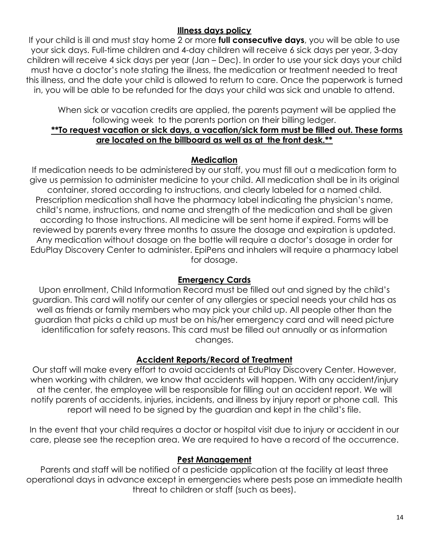#### **Illness days policy**

If your child is ill and must stay home 2 or more **full consecutive days**, you will be able to use your sick days. Full-time children and 4-day children will receive 6 sick days per year, 3-day children will receive 4 sick days per year (Jan – Dec). In order to use your sick days your child must have a doctor's note stating the illness, the medication or treatment needed to treat this illness, and the date your child is allowed to return to care. Once the paperwork is turned in, you will be able to be refunded for the days your child was sick and unable to attend.

When sick or vacation credits are applied, the parents payment will be applied the following week to the parents portion on their billing ledger.

#### **\*\*To request vacation or sick days, a vacation/sick form must be filled out. These forms are located on the billboard as well as at the front desk.\*\***

#### **Medication**

If medication needs to be administered by our staff, you must fill out a medication form to give us permission to administer medicine to your child. All medication shall be in its original container, stored according to instructions, and clearly labeled for a named child. Prescription medication shall have the pharmacy label indicating the physician's name, child's name, instructions, and name and strength of the medication and shall be given according to those instructions. All medicine will be sent home if expired. Forms will be reviewed by parents every three months to assure the dosage and expiration is updated. Any medication without dosage on the bottle will require a doctor's dosage in order for EduPlay Discovery Center to administer. EpiPens and inhalers will require a pharmacy label for dosage.

#### **Emergency Cards**

Upon enrollment, Child Information Record must be filled out and signed by the child's guardian. This card will notify our center of any allergies or special needs your child has as well as friends or family members who may pick your child up. All people other than the guardian that picks a child up must be on his/her emergency card and will need picture identification for safety reasons. This card must be filled out annually or as information changes.

#### **Accident Reports/Record of Treatment**

Our staff will make every effort to avoid accidents at EduPlay Discovery Center. However, when working with children, we know that accidents will happen. With any accident/injury at the center, the employee will be responsible for filling out an accident report. We will notify parents of accidents, injuries, incidents, and illness by injury report or phone call. This report will need to be signed by the guardian and kept in the child's file.

In the event that your child requires a doctor or hospital visit due to injury or accident in our care, please see the reception area. We are required to have a record of the occurrence.

#### **Pest Management**

Parents and staff will be notified of a pesticide application at the facility at least three operational days in advance except in emergencies where pests pose an immediate health threat to children or staff (such as bees).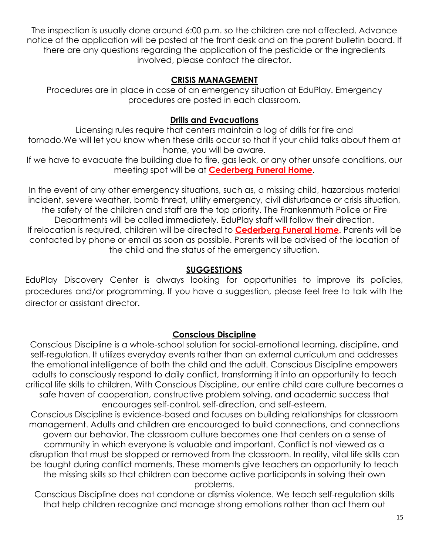The inspection is usually done around 6:00 p.m. so the children are not affected. Advance notice of the application will be posted at the front desk and on the parent bulletin board. If there are any questions regarding the application of the pesticide or the ingredients involved, please contact the director.

#### **CRISIS MANAGEMENT**

Procedures are in place in case of an emergency situation at EduPlay. Emergency procedures are posted in each classroom.

#### **Drills and Evacuations**

Licensing rules require that centers maintain a log of drills for fire and tornado.We will let you know when these drills occur so that if your child talks about them at home, you will be aware.

If we have to evacuate the building due to fire, gas leak, or any other unsafe conditions, our meeting spot will be at **Cederberg Funeral Home**.

In the event of any other emergency situations, such as, a missing child, hazardous material incident, severe weather, bomb threat, utility emergency, civil disturbance or crisis situation, the safety of the children and staff are the top priority. The Frankenmuth Police or Fire Departments will be called immediately. EduPlay staff will follow their direction. If relocation is required, children will be directed to **Cederberg Funeral Home**. Parents will be contacted by phone or email as soon as possible. Parents will be advised of the location of the child and the status of the emergency situation.

### **SUGGESTIONS**

EduPlay Discovery Center is always looking for opportunities to improve its policies, procedures and/or programming. If you have a suggestion, please feel free to talk with the director or assistant director.

## **Conscious Discipline**

Conscious Discipline is a whole-school solution for social-emotional learning, discipline, and self-regulation. It utilizes everyday events rather than an external curriculum and addresses the emotional intelligence of both the child and the adult. Conscious Discipline empowers adults to consciously respond to daily conflict, transforming it into an opportunity to teach critical life skills to children. With Conscious Discipline, our entire child care culture becomes a safe haven of cooperation, constructive problem solving, and academic success that encourages self-control, self-direction, and self-esteem.

Conscious Discipline is evidence-based and focuses on building relationships for classroom management. Adults and children are encouraged to build connections, and connections govern our behavior. The classroom culture becomes one that centers on a sense of community in which everyone is valuable and important. Conflict is not viewed as a disruption that must be stopped or removed from the classroom. In reality, vital life skills can be taught during conflict moments. These moments give teachers an opportunity to teach the missing skills so that children can become active participants in solving their own problems.

Conscious Discipline does not condone or dismiss violence. We teach self-regulation skills that help children recognize and manage strong emotions rather than act them out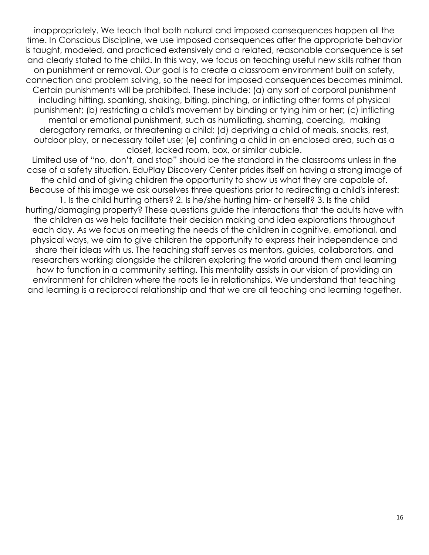inappropriately. We teach that both natural and imposed consequences happen all the time. In Conscious Discipline, we use imposed consequences after the appropriate behavior is taught, modeled, and practiced extensively and a related, reasonable consequence is set and clearly stated to the child. In this way, we focus on teaching useful new skills rather than on punishment or removal. Our goal is to create a classroom environment built on safety, connection and problem solving, so the need for imposed consequences becomes minimal. Certain punishments will be prohibited. These include: (a) any sort of corporal punishment including hitting, spanking, shaking, biting, pinching, or inflicting other forms of physical punishment; (b) restricting a child's movement by binding or tying him or her; (c) inflicting mental or emotional punishment, such as humiliating, shaming, coercing, making derogatory remarks, or threatening a child; (d) depriving a child of meals, snacks, rest, outdoor play, or necessary toilet use; (e) confining a child in an enclosed area, such as a closet, locked room, box, or similar cubicle.

Limited use of "no, don't, and stop" should be the standard in the classrooms unless in the case of a safety situation. EduPlay Discovery Center prides itself on having a strong image of the child and of giving children the opportunity to show us what they are capable of. Because of this image we ask ourselves three questions prior to redirecting a child's interest: 1. Is the child hurting others? 2. Is he/she hurting him- or herself? 3. Is the child

hurting/damaging property? These questions guide the interactions that the adults have with the children as we help facilitate their decision making and idea explorations throughout each day. As we focus on meeting the needs of the children in cognitive, emotional, and physical ways, we aim to give children the opportunity to express their independence and share their ideas with us. The teaching staff serves as mentors, guides, collaborators, and researchers working alongside the children exploring the world around them and learning how to function in a community setting. This mentality assists in our vision of providing an environment for children where the roots lie in relationships. We understand that teaching and learning is a reciprocal relationship and that we are all teaching and learning together.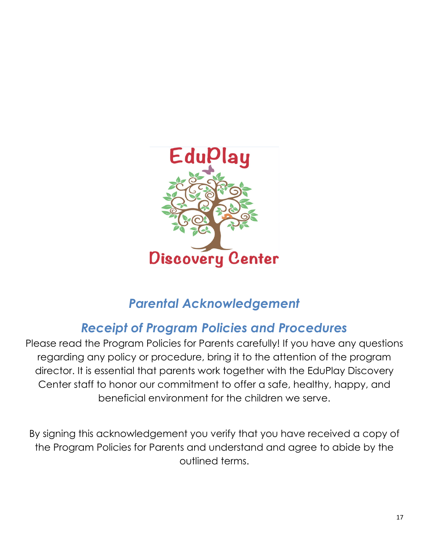

# *Parental Acknowledgement*

# *Receipt of Program Policies and Procedures*

Please read the Program Policies for Parents carefully! If you have any questions regarding any policy or procedure, bring it to the attention of the program director. It is essential that parents work together with the EduPlay Discovery Center staff to honor our commitment to offer a safe, healthy, happy, and beneficial environment for the children we serve.

By signing this acknowledgement you verify that you have received a copy of the Program Policies for Parents and understand and agree to abide by the outlined terms.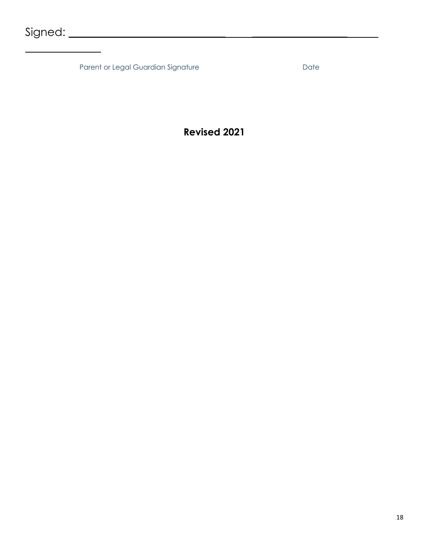Parent or Legal Guardian Signature **Date** Date

## **Revised 2021**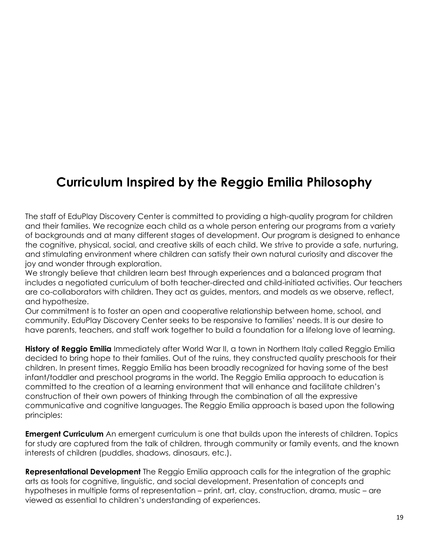# **Curriculum Inspired by the Reggio Emilia Philosophy**

The staff of EduPlay Discovery Center is committed to providing a high-quality program for children and their families. We recognize each child as a whole person entering our programs from a variety of backgrounds and at many different stages of development. Our program is designed to enhance the cognitive, physical, social, and creative skills of each child. We strive to provide a safe, nurturing, and stimulating environment where children can satisfy their own natural curiosity and discover the joy and wonder through exploration.

We strongly believe that children learn best through experiences and a balanced program that includes a negotiated curriculum of both teacher-directed and child-initiated activities. Our teachers are co-collaborators with children. They act as guides, mentors, and models as we observe, reflect, and hypothesize.

Our commitment is to foster an open and cooperative relationship between home, school, and community. EduPlay Discovery Center seeks to be responsive to families' needs. It is our desire to have parents, teachers, and staff work together to build a foundation for a lifelong love of learning.

**History of Reggio Emilia** Immediately after World War II, a town in Northern Italy called Reggio Emilia decided to bring hope to their families. Out of the ruins, they constructed quality preschools for their children. In present times, Reggio Emilia has been broadly recognized for having some of the best infant/toddler and preschool programs in the world. The Reggio Emilia approach to education is committed to the creation of a learning environment that will enhance and facilitate children's construction of their own powers of thinking through the combination of all the expressive communicative and cognitive languages. The Reggio Emilia approach is based upon the following principles:

**Emergent Curriculum** An emergent curriculum is one that builds upon the interests of children. Topics for study are captured from the talk of children, through community or family events, and the known interests of children (puddles, shadows, dinosaurs, etc.).

**Representational Development** The Reggio Emilia approach calls for the integration of the graphic arts as tools for cognitive, linguistic, and social development. Presentation of concepts and hypotheses in multiple forms of representation – print, art, clay, construction, drama, music – are viewed as essential to children's understanding of experiences.